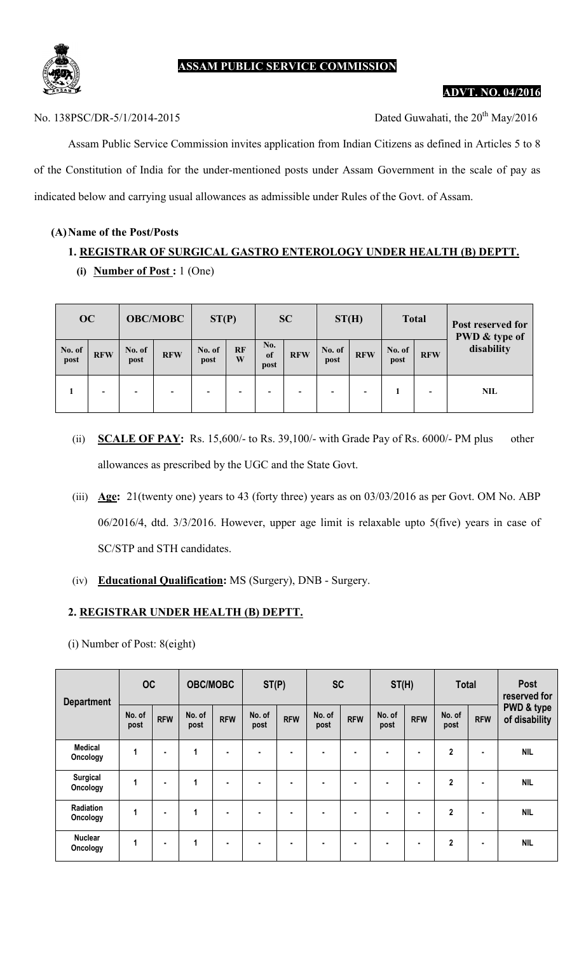

## ASSAM PUBLIC SERVICE COMMISSION

#### ADVT. NO. 04/2016

No. 138PSC/DR-5/1/2014-2015 Dated Guwahati, the 20<sup>th</sup> May/2016

Assam Public Service Commission invites application from Indian Citizens as defined in Articles 5 to 8 of the Constitution of India for the under-mentioned posts under Assam Government in the scale of pay as indicated below and carrying usual allowances as admissible under Rules of the Govt. of Assam.

#### (A)Name of the Post/Posts

# 1. REGISTRAR OF SURGICAL GASTRO ENTEROLOGY UNDER HEALTH (B) DEPTT. (i) Number of Post :  $1$  (One)

| <b>OC</b>      |            |                          | <b>OBC/MOBC</b> | ST(P)          |                          |                          | <b>SC</b>  | ST(H)          |            | <b>Total</b>   |            | Post reserved for<br>PWD & type of |  |
|----------------|------------|--------------------------|-----------------|----------------|--------------------------|--------------------------|------------|----------------|------------|----------------|------------|------------------------------------|--|
| No. of<br>post | <b>RFW</b> | No. of<br>post           | <b>RFW</b>      | No. of<br>post | <b>RF</b><br>W           | No.<br>of<br>post        | <b>RFW</b> | No. of<br>post | <b>RFW</b> | No. of<br>post | <b>RFW</b> | disability                         |  |
|                | -          | $\overline{\phantom{a}}$ |                 |                | $\overline{\phantom{0}}$ | $\overline{\phantom{0}}$ |            | -              | -          |                | -          | <b>NIL</b>                         |  |

- (ii) SCALE OF PAY: Rs. 15,600/- to Rs. 39,100/- with Grade Pay of Rs. 6000/- PM plus other allowances as prescribed by the UGC and the State Govt.
- (iii) Age: 21(twenty one) years to 43 (forty three) years as on 03/03/2016 as per Govt. OM No. ABP 06/2016/4, dtd. 3/3/2016. However, upper age limit is relaxable upto 5(five) years in case of SC/STP and STH candidates.
- (iv) Educational Qualification: MS (Surgery), DNB Surgery.

#### 2. REGISTRAR UNDER HEALTH (B) DEPTT.

(i) Number of Post: 8(eight)

| <b>Department</b>           | OC             |                | <b>OBC/MOBC</b> |                | ST(P)          |                | <b>SC</b>      |                | ST(H)          |                | <b>Total</b>   |                | <b>Post</b><br>reserved for            |
|-----------------------------|----------------|----------------|-----------------|----------------|----------------|----------------|----------------|----------------|----------------|----------------|----------------|----------------|----------------------------------------|
|                             | No. of<br>post | <b>RFW</b>     | No. of<br>post  | <b>RFW</b>     | No. of<br>post | <b>RFW</b>     | No. of<br>post | <b>RFW</b>     | No. of<br>post | <b>RFW</b>     | No. of<br>post | <b>RFW</b>     | <b>PWD &amp; type</b><br>of disability |
| <b>Medical</b><br>Oncology  | 1              | ٠              | 1               | ٠              | ٠              | $\blacksquare$ | ۰              | ٠              | $\blacksquare$ | $\blacksquare$ | $\mathbf{2}$   | $\blacksquare$ | <b>NIL</b>                             |
| <b>Surgical</b><br>Oncology | 1              | ٠              | 1               | $\blacksquare$ | ٠              | $\blacksquare$ | ۰              | $\blacksquare$ | $\blacksquare$ | $\blacksquare$ | $\mathbf{2}$   | $\bullet$      | <b>NIL</b>                             |
| Radiation<br>Oncology       | 1              | $\blacksquare$ | 1               | ٠              | ٠              | $\blacksquare$ | ۰              | $\blacksquare$ | ٠              | $\blacksquare$ | $\mathbf{2}$   | $\blacksquare$ | <b>NIL</b>                             |
| <b>Nuclear</b><br>Oncology  | 1              | $\blacksquare$ | 1               | $\blacksquare$ | ۰              | ٠              | ۰              | ٠              | $\blacksquare$ | $\blacksquare$ | $\overline{2}$ | ٠              | <b>NIL</b>                             |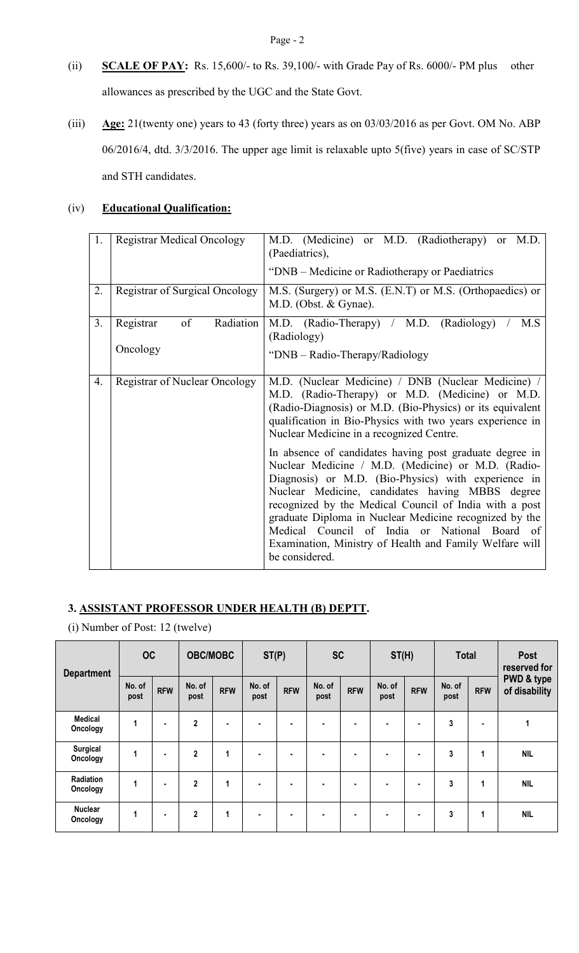- (ii) SCALE OF PAY: Rs. 15,600/- to Rs. 39,100/- with Grade Pay of Rs. 6000/- PM plus other allowances as prescribed by the UGC and the State Govt.
- (iii)  $\Delta$ ge: 21(twenty one) years to 43 (forty three) years as on 03/03/2016 as per Govt. OM No. ABP 06/2016/4, dtd. 3/3/2016. The upper age limit is relaxable upto 5(five) years in case of SC/STP and STH candidates.

## (iv) Educational Qualification:

| 1. | <b>Registrar Medical Oncology</b>        | M.D. (Medicine) or M.D. (Radiotherapy) or M.D.<br>(Paediatrics),                                                                                                                                                                                                                                                                                                                                                                                                          |
|----|------------------------------------------|---------------------------------------------------------------------------------------------------------------------------------------------------------------------------------------------------------------------------------------------------------------------------------------------------------------------------------------------------------------------------------------------------------------------------------------------------------------------------|
|    |                                          | "DNB – Medicine or Radiotherapy or Paediatrics"                                                                                                                                                                                                                                                                                                                                                                                                                           |
| 2. | <b>Registrar of Surgical Oncology</b>    | M.S. (Surgery) or M.S. (E.N.T) or M.S. (Orthopaedics) or<br>M.D. (Obst. & Gynae).                                                                                                                                                                                                                                                                                                                                                                                         |
| 3. | of<br>Radiation<br>Registrar<br>Oncology | M.D. (Radio-Therapy) / M.D. (Radiology)<br>M.S<br>(Radiology)<br>"DNB – Radio-Therapy/Radiology                                                                                                                                                                                                                                                                                                                                                                           |
| 4. | <b>Registrar of Nuclear Oncology</b>     | M.D. (Nuclear Medicine) / DNB (Nuclear Medicine) /<br>M.D. (Radio-Therapy) or M.D. (Medicine) or M.D.<br>(Radio-Diagnosis) or M.D. (Bio-Physics) or its equivalent<br>qualification in Bio-Physics with two years experience in<br>Nuclear Medicine in a recognized Centre.                                                                                                                                                                                               |
|    |                                          | In absence of candidates having post graduate degree in<br>Nuclear Medicine / M.D. (Medicine) or M.D. (Radio-<br>Diagnosis) or M.D. (Bio-Physics) with experience in<br>Nuclear Medicine, candidates having MBBS degree<br>recognized by the Medical Council of India with a post<br>graduate Diploma in Nuclear Medicine recognized by the<br>Medical Council of India or National Board of<br>Examination, Ministry of Health and Family Welfare will<br>be considered. |

## 3. ASSISTANT PROFESSOR UNDER HEALTH (B) DEPTT.

(i) Number of Post: 12 (twelve)

| <b>Department</b>           | <b>OC</b>      |                | <b>OBC/MOBC</b> |                | ST(P)          |                | <b>SC</b>      |                | ST(H)          |                | <b>Total</b>   |            | Post<br>reserved for                   |
|-----------------------------|----------------|----------------|-----------------|----------------|----------------|----------------|----------------|----------------|----------------|----------------|----------------|------------|----------------------------------------|
|                             | No. of<br>post | <b>RFW</b>     | No. of<br>post  | <b>RFW</b>     | No. of<br>post | <b>RFW</b>     | No. of<br>post | <b>RFW</b>     | No. of<br>post | <b>RFW</b>     | No. of<br>post | <b>RFW</b> | <b>PWD &amp; type</b><br>of disability |
| <b>Medical</b><br>Oncology  | 1              | ٠              | $\overline{2}$  | $\blacksquare$ | $\blacksquare$ | $\blacksquare$ | ٠              | ٠              | ٠              | ٠              | 3              | ٠          | $\mathbf{1}$                           |
| <b>Surgical</b><br>Oncology | 1              | $\blacksquare$ | $\overline{2}$  | 1              | ٠              | $\blacksquare$ | ٠              | $\blacksquare$ | ٠              | ٠              | 3              | 1          | <b>NIL</b>                             |
| Radiation<br>Oncology       | 1              | $\blacksquare$ | $\mathbf{2}$    | 1              | $\blacksquare$ | $\blacksquare$ | ٠              | ٠              | $\blacksquare$ | $\blacksquare$ | 3              | 1          | <b>NIL</b>                             |
| <b>Nuclear</b><br>Oncology  | 1              | ٠              | $\overline{2}$  | 1              | $\blacksquare$ | $\blacksquare$ | ۰              | ٠              | ٠              | $\blacksquare$ | 3              | 1          | <b>NIL</b>                             |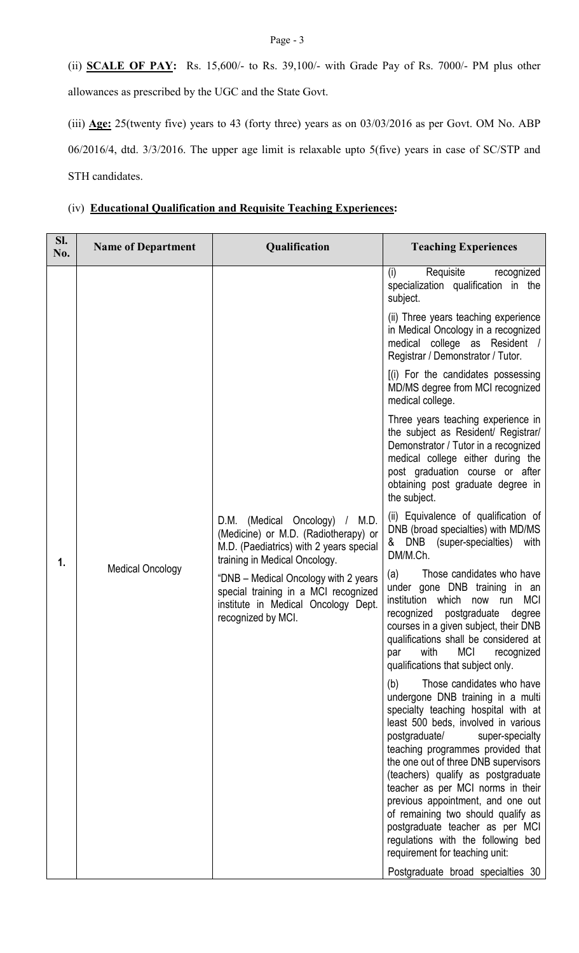(ii) **SCALE OF PAY:** Rs. 15,600/- to Rs. 39,100/- with Grade Pay of Rs. 7000/- PM plus other allowances as prescribed by the UGC and the State Govt.

(iii) Age: 25(twenty five) years to 43 (forty three) years as on 03/03/2016 as per Govt. OM No. ABP 06/2016/4, dtd. 3/3/2016. The upper age limit is relaxable upto 5(five) years in case of SC/STP and STH candidates.

|  |  |  | (iv) Educational Qualification and Requisite Teaching Experiences: |
|--|--|--|--------------------------------------------------------------------|
|--|--|--|--------------------------------------------------------------------|

| SI.<br>No. | <b>Name of Department</b> | Qualification                                                                                                                                      | <b>Teaching Experiences</b>                                                                                                                                                                                                                                                                                                                                                                                                                                                                                                           |
|------------|---------------------------|----------------------------------------------------------------------------------------------------------------------------------------------------|---------------------------------------------------------------------------------------------------------------------------------------------------------------------------------------------------------------------------------------------------------------------------------------------------------------------------------------------------------------------------------------------------------------------------------------------------------------------------------------------------------------------------------------|
|            |                           |                                                                                                                                                    | Requisite<br>(i)<br>recognized<br>specialization qualification in the<br>subject.                                                                                                                                                                                                                                                                                                                                                                                                                                                     |
|            |                           |                                                                                                                                                    | (ii) Three years teaching experience<br>in Medical Oncology in a recognized<br>medical college as Resident<br>Registrar / Demonstrator / Tutor.                                                                                                                                                                                                                                                                                                                                                                                       |
|            |                           |                                                                                                                                                    | [(i) For the candidates possessing<br>MD/MS degree from MCI recognized<br>medical college.                                                                                                                                                                                                                                                                                                                                                                                                                                            |
|            |                           |                                                                                                                                                    | Three years teaching experience in<br>the subject as Resident/ Registrar/<br>Demonstrator / Tutor in a recognized<br>medical college either during the<br>post graduation course or after<br>obtaining post graduate degree in<br>the subject.                                                                                                                                                                                                                                                                                        |
|            |                           | D.M. (Medical Oncology) / M.D.<br>(Medicine) or M.D. (Radiotherapy) or<br>M.D. (Paediatrics) with 2 years special<br>training in Medical Oncology. | (ii) Equivalence of qualification of<br>DNB (broad specialties) with MD/MS<br>DNB (super-specialties)<br>with<br>&<br>DM/M.Ch.                                                                                                                                                                                                                                                                                                                                                                                                        |
| 1.         | <b>Medical Oncology</b>   | "DNB - Medical Oncology with 2 years<br>special training in a MCI recognized<br>institute in Medical Oncology Dept.<br>recognized by MCI.          | Those candidates who have<br>(a)<br>under gone DNB training in an<br>institution which now run MCI<br>postgraduate<br>recognized<br>degree<br>courses in a given subject, their DNB<br>qualifications shall be considered at<br><b>MCI</b><br>with<br>recognized<br>par<br>qualifications that subject only.                                                                                                                                                                                                                          |
|            |                           |                                                                                                                                                    | Those candidates who have<br>(b)<br>undergone DNB training in a multi<br>specialty teaching hospital with at<br>least 500 beds, involved in various<br>postgraduate/<br>super-specialty<br>teaching programmes provided that<br>the one out of three DNB supervisors<br>(teachers) qualify as postgraduate<br>teacher as per MCI norms in their<br>previous appointment, and one out<br>of remaining two should qualify as<br>postgraduate teacher as per MCI<br>regulations with the following bed<br>requirement for teaching unit: |
|            |                           |                                                                                                                                                    | Postgraduate broad specialties 30                                                                                                                                                                                                                                                                                                                                                                                                                                                                                                     |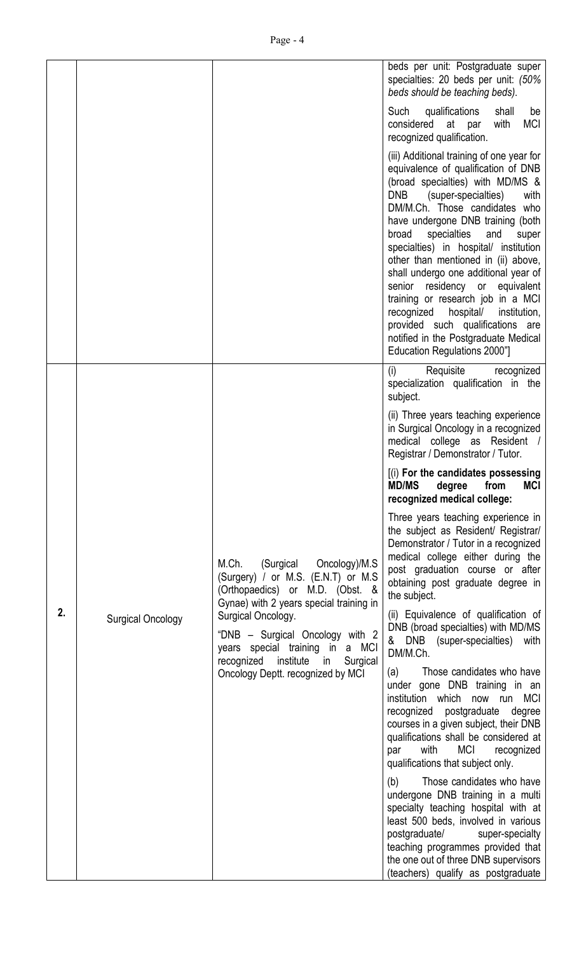|    |                          |                                                                                                                                                      | beds per unit: Postgraduate super<br>specialties: 20 beds per unit: (50%<br>beds should be teaching beds).                                                                                                                                                                                                                                                                                                                                                                                                                                                                                                                         |
|----|--------------------------|------------------------------------------------------------------------------------------------------------------------------------------------------|------------------------------------------------------------------------------------------------------------------------------------------------------------------------------------------------------------------------------------------------------------------------------------------------------------------------------------------------------------------------------------------------------------------------------------------------------------------------------------------------------------------------------------------------------------------------------------------------------------------------------------|
|    |                          |                                                                                                                                                      | qualifications<br>Such<br>shall<br>be<br><b>MCI</b><br>considered at par<br>with<br>recognized qualification.                                                                                                                                                                                                                                                                                                                                                                                                                                                                                                                      |
|    |                          |                                                                                                                                                      | (iii) Additional training of one year for<br>equivalence of qualification of DNB<br>(broad specialties) with MD/MS &<br><b>DNB</b><br>(super-specialties)<br>with<br>DM/M.Ch. Those candidates who<br>have undergone DNB training (both<br>specialties<br>broad<br>and<br>super<br>specialties) in hospital/ institution<br>other than mentioned in (ii) above,<br>shall undergo one additional year of<br>senior residency or equivalent<br>training or research job in a MCI<br>recognized hospital/<br>institution,<br>provided such qualifications are<br>notified in the Postgraduate Medical<br>Education Regulations 2000"] |
|    |                          |                                                                                                                                                      | Requisite recognized<br>(i)<br>specialization qualification in the<br>subject.                                                                                                                                                                                                                                                                                                                                                                                                                                                                                                                                                     |
|    |                          |                                                                                                                                                      | (ii) Three years teaching experience<br>in Surgical Oncology in a recognized<br>medical college as Resident /<br>Registrar / Demonstrator / Tutor.                                                                                                                                                                                                                                                                                                                                                                                                                                                                                 |
|    |                          |                                                                                                                                                      | [(i) For the candidates possessing<br><b>MD/MS</b><br><b>MCI</b><br>degree<br>from<br>recognized medical college:                                                                                                                                                                                                                                                                                                                                                                                                                                                                                                                  |
|    |                          | (Surgical Oncology)/M.S<br>M.Ch.<br>(Surgery) / or M.S. (E.N.T) or M.S<br>(Orthopaedics) or M.D. (Obst. &<br>Gynae) with 2 years special training in | Three years teaching experience in<br>the subject as Resident/ Registrar/<br>Demonstrator / Tutor in a recognized<br>medical college either during the<br>post graduation course or after<br>obtaining post graduate degree in<br>the subject.                                                                                                                                                                                                                                                                                                                                                                                     |
| 2. | <b>Surgical Oncology</b> | Surgical Oncology.<br>"DNB – Surgical Oncology with 2<br>years special training in a MCI<br>institute in<br>Surgical<br>recognized                   | (ii) Equivalence of qualification of<br>DNB (broad specialties) with MD/MS<br>& DNB (super-specialties) with<br>DM/M.Ch.                                                                                                                                                                                                                                                                                                                                                                                                                                                                                                           |
|    |                          | Oncology Deptt. recognized by MCI                                                                                                                    | Those candidates who have<br>(a)<br>under gone DNB training in an<br>institution which now run MCI<br>recognized<br>postgraduate<br>degree<br>courses in a given subject, their DNB<br>qualifications shall be considered at<br>MCI<br>with<br>recognized<br>par<br>qualifications that subject only.                                                                                                                                                                                                                                                                                                                              |
|    |                          |                                                                                                                                                      | Those candidates who have<br>(b)<br>undergone DNB training in a multi<br>specialty teaching hospital with at<br>least 500 beds, involved in various<br>postgraduate/<br>super-specialty<br>teaching programmes provided that<br>the one out of three DNB supervisors<br>(teachers) qualify as postgraduate                                                                                                                                                                                                                                                                                                                         |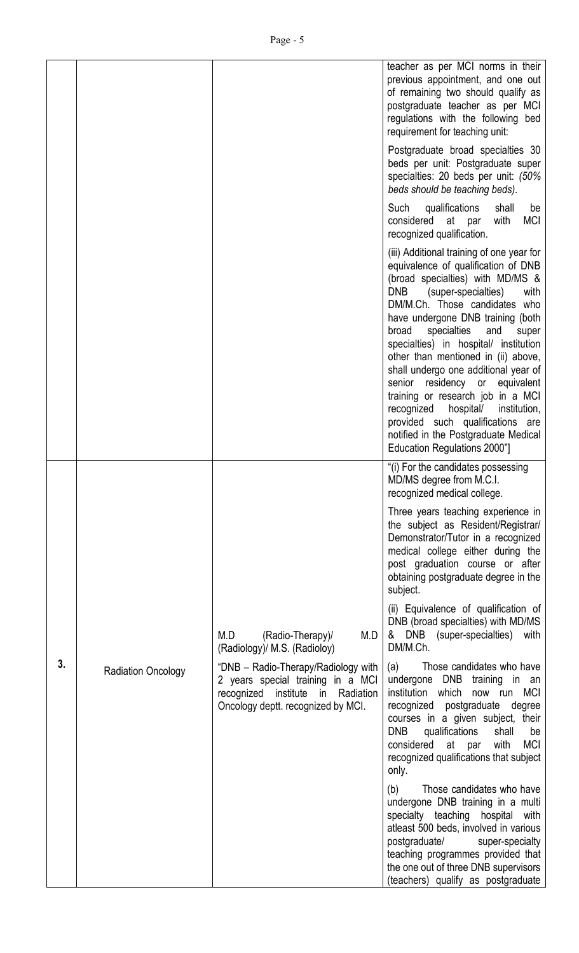|    |                           |                                                                                                                                                     | teacher as per MCI norms in their                                                                                                                                                                                                                                                                                                                                                                                                                                                                                                                                                                                                 |
|----|---------------------------|-----------------------------------------------------------------------------------------------------------------------------------------------------|-----------------------------------------------------------------------------------------------------------------------------------------------------------------------------------------------------------------------------------------------------------------------------------------------------------------------------------------------------------------------------------------------------------------------------------------------------------------------------------------------------------------------------------------------------------------------------------------------------------------------------------|
|    |                           |                                                                                                                                                     | previous appointment, and one out<br>of remaining two should qualify as<br>postgraduate teacher as per MCI<br>regulations with the following bed<br>requirement for teaching unit:                                                                                                                                                                                                                                                                                                                                                                                                                                                |
|    |                           |                                                                                                                                                     | Postgraduate broad specialties 30<br>beds per unit: Postgraduate super<br>specialties: 20 beds per unit: (50%<br>beds should be teaching beds).                                                                                                                                                                                                                                                                                                                                                                                                                                                                                   |
|    |                           |                                                                                                                                                     | Such<br>qualifications<br>shall<br>be<br>considered<br>at par<br><b>MCI</b><br>with<br>recognized qualification.                                                                                                                                                                                                                                                                                                                                                                                                                                                                                                                  |
|    |                           |                                                                                                                                                     | (iii) Additional training of one year for<br>equivalence of qualification of DNB<br>(broad specialties) with MD/MS &<br>DNB<br>(super-specialties)<br>with<br>DM/M.Ch. Those candidates who<br>have undergone DNB training (both<br>broad<br>specialties<br>and<br>super<br>specialties) in hospital/ institution<br>other than mentioned in (ii) above,<br>shall undergo one additional year of<br>senior residency or<br>equivalent<br>training or research job in a MCI<br>recognized<br>hospital/<br>institution,<br>provided such qualifications are<br>notified in the Postgraduate Medical<br>Education Regulations 2000"] |
|    |                           |                                                                                                                                                     | "(i) For the candidates possessing<br>MD/MS degree from M.C.I.<br>recognized medical college.                                                                                                                                                                                                                                                                                                                                                                                                                                                                                                                                     |
|    |                           |                                                                                                                                                     | Three years teaching experience in<br>the subject as Resident/Registrar/<br>Demonstrator/Tutor in a recognized<br>medical college either during the<br>post graduation course or after<br>obtaining postgraduate degree in the<br>subject.                                                                                                                                                                                                                                                                                                                                                                                        |
|    |                           | M.D<br>M.D<br>(Radio-Therapy)/<br>(Radiology)/ M.S. (Radioloy)                                                                                      | (ii) Equivalence of qualification of<br>DNB (broad specialties) with MD/MS<br>& DNB (super-specialties)<br>with<br>DM/M.Ch.                                                                                                                                                                                                                                                                                                                                                                                                                                                                                                       |
| 3. | <b>Radiation Oncology</b> | "DNB - Radio-Therapy/Radiology with<br>2 years special training in a MCI<br>recognized institute in Radiation<br>Oncology deptt. recognized by MCI. | Those candidates who have<br>(a)<br>undergone DNB training in an<br>institution which<br>now run MCI<br>recognized postgraduate<br>degree<br>courses in a given subject, their<br><b>DNB</b><br>qualifications<br>shall<br>be<br>considered at par<br>with<br><b>MCI</b><br>recognized qualifications that subject<br>only.                                                                                                                                                                                                                                                                                                       |
|    |                           |                                                                                                                                                     | Those candidates who have<br>(b)<br>undergone DNB training in a multi<br>specialty teaching hospital with<br>atleast 500 beds, involved in various<br>postgraduate/<br>super-specialty<br>teaching programmes provided that<br>the one out of three DNB supervisors<br>(teachers) qualify as postgraduate                                                                                                                                                                                                                                                                                                                         |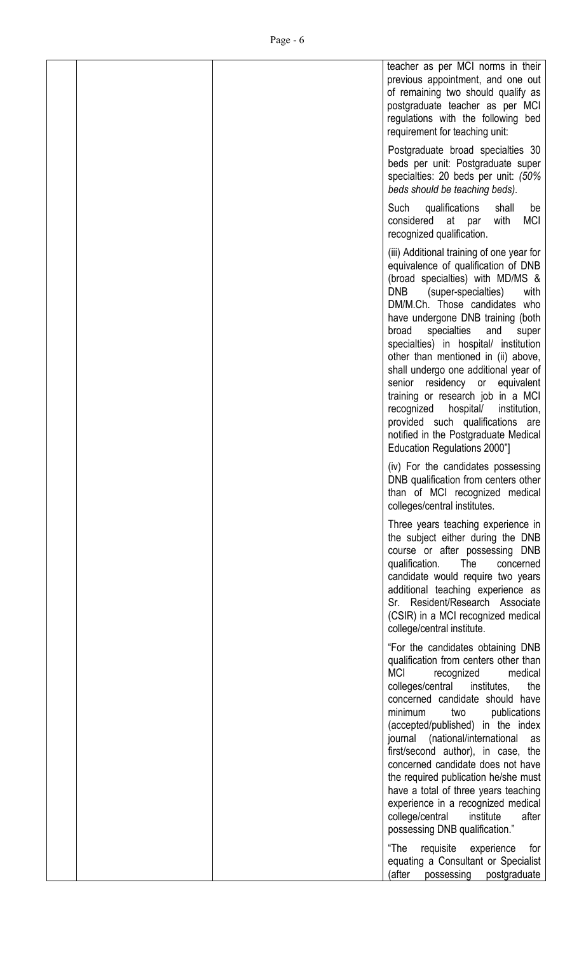|  | teacher as per MCI norms in their<br>previous appointment, and one out<br>of remaining two should qualify as<br>postgraduate teacher as per MCI<br>regulations with the following bed<br>requirement for teaching unit:                                                                                                                                                                                                                                                                                                                                                                                                      |
|--|------------------------------------------------------------------------------------------------------------------------------------------------------------------------------------------------------------------------------------------------------------------------------------------------------------------------------------------------------------------------------------------------------------------------------------------------------------------------------------------------------------------------------------------------------------------------------------------------------------------------------|
|  | Postgraduate broad specialties 30<br>beds per unit: Postgraduate super<br>specialties: 20 beds per unit: (50%<br>beds should be teaching beds).                                                                                                                                                                                                                                                                                                                                                                                                                                                                              |
|  | Such<br>qualifications<br>shall<br>be<br>considered at par<br><b>MCI</b><br>with<br>recognized qualification.                                                                                                                                                                                                                                                                                                                                                                                                                                                                                                                |
|  | (iii) Additional training of one year for<br>equivalence of qualification of DNB<br>(broad specialties) with MD/MS &<br>DNB.<br>(super-specialties)<br>with<br>DM/M.Ch. Those candidates who<br>have undergone DNB training (both<br>specialties<br>broad<br>and<br>super<br>specialties) in hospital/ institution<br>other than mentioned in (ii) above,<br>shall undergo one additional year of<br>senior residency or equivalent<br>training or research job in a MCI<br>recognized hospital/<br>institution,<br>provided such qualifications are<br>notified in the Postgraduate Medical<br>Education Regulations 2000"] |
|  | (iv) For the candidates possessing<br>DNB qualification from centers other<br>than of MCI recognized medical<br>colleges/central institutes.                                                                                                                                                                                                                                                                                                                                                                                                                                                                                 |
|  | Three years teaching experience in<br>the subject either during the DNB<br>course or after possessing DNB<br>qualification.<br>The<br>concerned<br>candidate would require two years<br>additional teaching experience as<br>Sr. Resident/Research Associate<br>(CSIR) in a MCI recognized medical<br>college/central institute.                                                                                                                                                                                                                                                                                             |
|  | "For the candidates obtaining DNB<br>qualification from centers other than<br><b>MCI</b><br>recognized<br>medical<br>colleges/central institutes, the<br>concerned candidate should have<br>minimum<br>publications<br>two<br>(accepted/published) in the index<br>journal (national/international as<br>first/second author), in case, the<br>concerned candidate does not have<br>the required publication he/she must<br>have a total of three years teaching<br>experience in a recognized medical<br>college/central<br>institute<br>after<br>possessing DNB qualification."                                            |
|  | "The<br>requisite<br>experience<br>for<br>equating a Consultant or Specialist<br>(after<br>postgraduate<br>possessing                                                                                                                                                                                                                                                                                                                                                                                                                                                                                                        |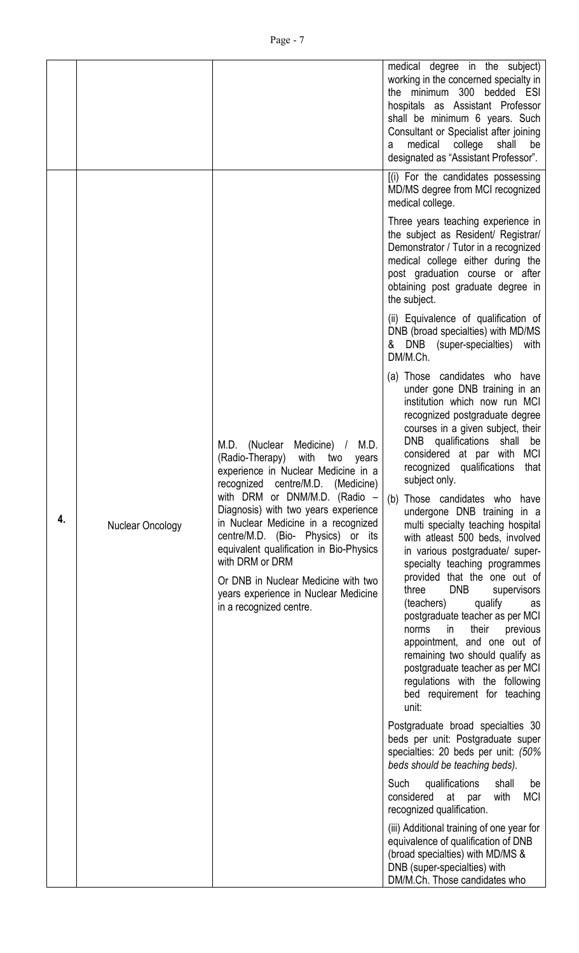|    |                  |                                                                                                                                                                                                                                                                                                                                                                                                                                                                                       | medical degree in the subject)<br>working in the concerned specialty in<br>the minimum 300 bedded ESI<br>hospitals as Assistant Professor<br>shall be minimum 6 years. Such<br>Consultant or Specialist after joining<br>medical<br>college<br>shall<br>be<br>a<br>designated as "Assistant Professor".                                                                                                                                                                                                                                                                                                                                                                                                                                                                                                                                                                        |
|----|------------------|---------------------------------------------------------------------------------------------------------------------------------------------------------------------------------------------------------------------------------------------------------------------------------------------------------------------------------------------------------------------------------------------------------------------------------------------------------------------------------------|--------------------------------------------------------------------------------------------------------------------------------------------------------------------------------------------------------------------------------------------------------------------------------------------------------------------------------------------------------------------------------------------------------------------------------------------------------------------------------------------------------------------------------------------------------------------------------------------------------------------------------------------------------------------------------------------------------------------------------------------------------------------------------------------------------------------------------------------------------------------------------|
|    |                  |                                                                                                                                                                                                                                                                                                                                                                                                                                                                                       | [(i) For the candidates possessing<br>MD/MS degree from MCI recognized<br>medical college.                                                                                                                                                                                                                                                                                                                                                                                                                                                                                                                                                                                                                                                                                                                                                                                     |
|    |                  |                                                                                                                                                                                                                                                                                                                                                                                                                                                                                       | Three years teaching experience in<br>the subject as Resident/ Registrar/<br>Demonstrator / Tutor in a recognized<br>medical college either during the<br>post graduation course or after<br>obtaining post graduate degree in<br>the subject.                                                                                                                                                                                                                                                                                                                                                                                                                                                                                                                                                                                                                                 |
|    |                  |                                                                                                                                                                                                                                                                                                                                                                                                                                                                                       | (ii) Equivalence of qualification of<br>DNB (broad specialties) with MD/MS<br>& DNB (super-specialties) with<br>DM/M.Ch.                                                                                                                                                                                                                                                                                                                                                                                                                                                                                                                                                                                                                                                                                                                                                       |
| 4. | Nuclear Oncology | M.D. (Nuclear Medicine) /<br>M.D.<br>with<br>(Radio-Therapy)<br>two<br>years<br>experience in Nuclear Medicine in a<br>recognized centre/M.D. (Medicine)<br>with DRM or DNM/M.D. (Radio -<br>Diagnosis) with two years experience<br>in Nuclear Medicine in a recognized<br>centre/M.D. (Bio- Physics) or its<br>equivalent qualification in Bio-Physics<br>with DRM or DRM<br>Or DNB in Nuclear Medicine with two<br>years experience in Nuclear Medicine<br>in a recognized centre. | (a) Those candidates who have<br>under gone DNB training in an<br>institution which now run MCI<br>recognized postgraduate degree<br>courses in a given subject, their<br>DNB qualifications shall<br>be<br>considered at par with<br>MCI<br>qualifications<br>recognized<br>that<br>subject only.<br>Those candidates who have<br>(b)<br>undergone DNB training in a<br>multi specialty teaching hospital<br>with atleast 500 beds, involved<br>in various postgraduate/ super-<br>specialty teaching programmes<br>provided that the one out of<br><b>DNB</b><br>three<br>supervisors<br>(teachers)<br>qualify<br>as<br>postgraduate teacher as per MCI<br>their<br>in.<br>previous<br>norms<br>appointment, and one out of<br>remaining two should qualify as<br>postgraduate teacher as per MCI<br>regulations with the following<br>bed requirement for teaching<br>unit: |
|    |                  |                                                                                                                                                                                                                                                                                                                                                                                                                                                                                       | Postgraduate broad specialties 30<br>beds per unit: Postgraduate super<br>specialties: 20 beds per unit: (50%<br>beds should be teaching beds).                                                                                                                                                                                                                                                                                                                                                                                                                                                                                                                                                                                                                                                                                                                                |
|    |                  |                                                                                                                                                                                                                                                                                                                                                                                                                                                                                       | Such<br>qualifications<br>shall<br>be<br><b>MCI</b><br>considered at par<br>with<br>recognized qualification.                                                                                                                                                                                                                                                                                                                                                                                                                                                                                                                                                                                                                                                                                                                                                                  |
|    |                  |                                                                                                                                                                                                                                                                                                                                                                                                                                                                                       | (iii) Additional training of one year for<br>equivalence of qualification of DNB<br>(broad specialties) with MD/MS &<br>DNB (super-specialties) with<br>DM/M.Ch. Those candidates who                                                                                                                                                                                                                                                                                                                                                                                                                                                                                                                                                                                                                                                                                          |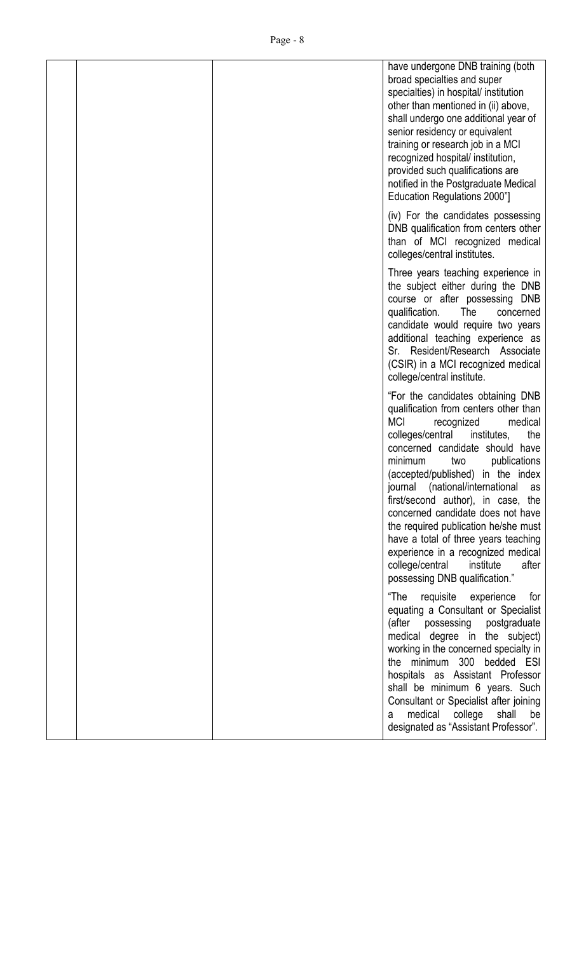|  | have undergone DNB training (both<br>broad specialties and super<br>specialties) in hospital/ institution<br>other than mentioned in (ii) above,<br>shall undergo one additional year of<br>senior residency or equivalent<br>training or research job in a MCI<br>recognized hospital/ institution,<br>provided such qualifications are<br>notified in the Postgraduate Medical<br>Education Regulations 2000"]                                                                                                                                                                        |
|--|-----------------------------------------------------------------------------------------------------------------------------------------------------------------------------------------------------------------------------------------------------------------------------------------------------------------------------------------------------------------------------------------------------------------------------------------------------------------------------------------------------------------------------------------------------------------------------------------|
|  | (iv) For the candidates possessing<br>DNB qualification from centers other<br>than of MCI recognized medical<br>colleges/central institutes.                                                                                                                                                                                                                                                                                                                                                                                                                                            |
|  | Three years teaching experience in<br>the subject either during the DNB<br>course or after possessing DNB<br>qualification.<br>The<br>concerned<br>candidate would require two years<br>additional teaching experience as<br>Sr. Resident/Research Associate<br>(CSIR) in a MCI recognized medical<br>college/central institute.                                                                                                                                                                                                                                                        |
|  | "For the candidates obtaining DNB<br>qualification from centers other than<br><b>MCI</b><br>medical<br>recognized<br>colleges/central<br>institutes,<br>the<br>concerned candidate should have<br>minimum<br>publications<br>two<br>(accepted/published) in the index<br>journal (national/international as<br>first/second author), in case, the<br>concerned candidate does not have<br>the required publication he/she must<br>have a total of three years teaching<br>experience in a recognized medical<br>college/central<br>institute<br>after<br>possessing DNB qualification." |
|  | "The<br>requisite experience<br>for<br>equating a Consultant or Specialist<br>(after<br>possessing postgraduate<br>medical degree in the subject)<br>working in the concerned specialty in<br>the minimum 300 bedded ESI<br>hospitals as Assistant Professor<br>shall be minimum 6 years. Such<br>Consultant or Specialist after joining<br>medical college shall be<br>a<br>designated as "Assistant Professor".                                                                                                                                                                       |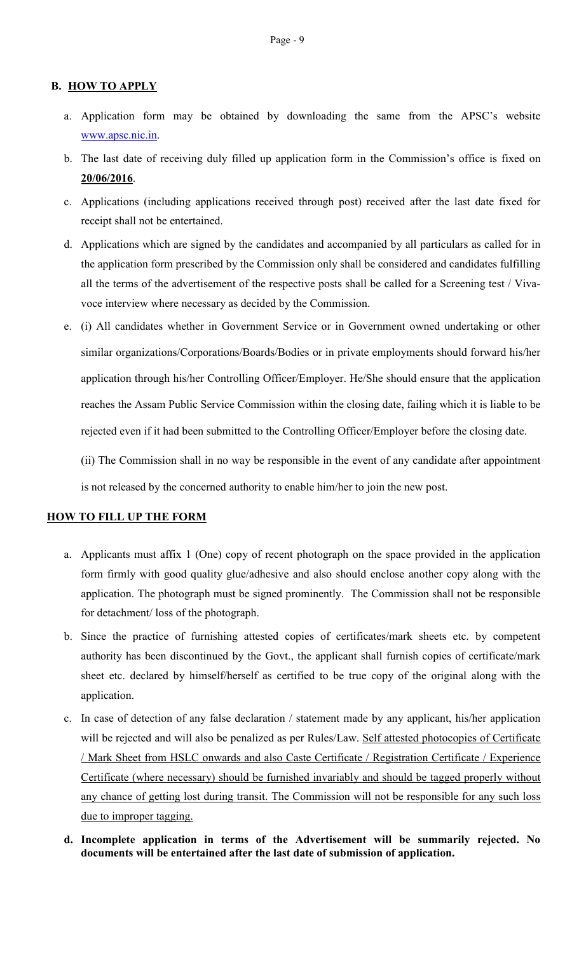### B. HOW TO APPLY

- a. Application form may be obtained by downloading the same from the APSC's website www.apsc.nic.in.
- b. The last date of receiving duly filled up application form in the Commission's office is fixed on 20/06/2016.
- c. Applications (including applications received through post) received after the last date fixed for receipt shall not be entertained.
- d. Applications which are signed by the candidates and accompanied by all particulars as called for in the application form prescribed by the Commission only shall be considered and candidates fulfilling all the terms of the advertisement of the respective posts shall be called for a Screening test / Vivavoce interview where necessary as decided by the Commission.
- e. (i) All candidates whether in Government Service or in Government owned undertaking or other similar organizations/Corporations/Boards/Bodies or in private employments should forward his/her application through his/her Controlling Officer/Employer. He/She should ensure that the application reaches the Assam Public Service Commission within the closing date, failing which it is liable to be rejected even if it had been submitted to the Controlling Officer/Employer before the closing date.

(ii) The Commission shall in no way be responsible in the event of any candidate after appointment is not released by the concerned authority to enable him/her to join the new post.

#### HOW TO FILL UP THE FORM

- a. Applicants must affix 1 (One) copy of recent photograph on the space provided in the application form firmly with good quality glue/adhesive and also should enclose another copy along with the application. The photograph must be signed prominently. The Commission shall not be responsible for detachment/ loss of the photograph.
- b. Since the practice of furnishing attested copies of certificates/mark sheets etc. by competent authority has been discontinued by the Govt., the applicant shall furnish copies of certificate/mark sheet etc. declared by himself/herself as certified to be true copy of the original along with the application.
- c. In case of detection of any false declaration / statement made by any applicant, his/her application will be rejected and will also be penalized as per Rules/Law. Self attested photocopies of Certificate / Mark Sheet from HSLC onwards and also Caste Certificate / Registration Certificate / Experience Certificate (where necessary) should be furnished invariably and should be tagged properly without any chance of getting lost during transit. The Commission will not be responsible for any such loss due to improper tagging.
- d. Incomplete application in terms of the Advertisement will be summarily rejected. No documents will be entertained after the last date of submission of application.